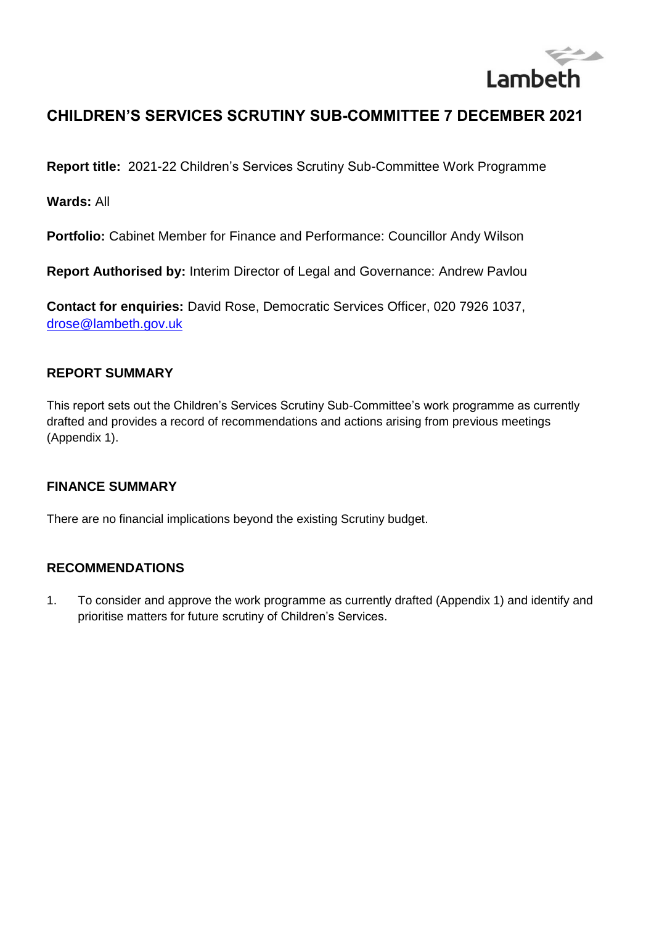

# **CHILDREN'S SERVICES SCRUTINY SUB-COMMITTEE 7 DECEMBER 2021**

**Report title:** 2021-22 Children's Services Scrutiny Sub-Committee Work Programme

**Wards:** All

**Portfolio:** Cabinet Member for Finance and Performance: Councillor Andy Wilson

**Report Authorised by:** Interim Director of Legal and Governance: Andrew Pavlou

**Contact for enquiries:** David Rose, Democratic Services Officer, 020 7926 1037, [drose@lambeth.gov.uk](mailto:drose@lambeth.gov.uk)

#### **REPORT SUMMARY**

This report sets out the Children's Services Scrutiny Sub-Committee's work programme as currently drafted and provides a record of recommendations and actions arising from previous meetings (Appendix 1).

#### **FINANCE SUMMARY**

There are no financial implications beyond the existing Scrutiny budget.

#### **RECOMMENDATIONS**

1. To consider and approve the work programme as currently drafted (Appendix 1) and identify and prioritise matters for future scrutiny of Children's Services.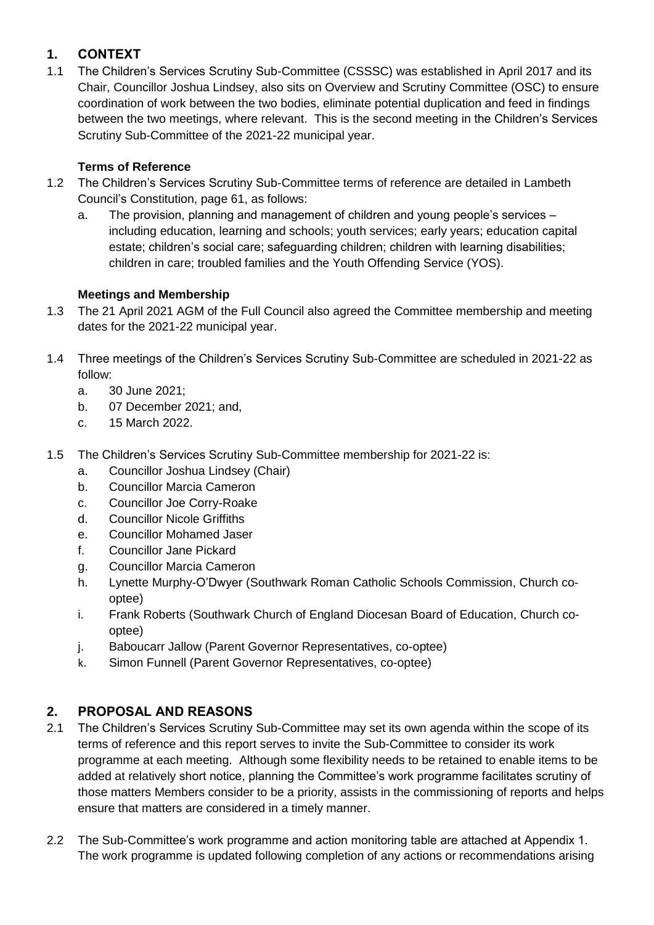# **1. CONTEXT**

1.1 The Children's Services Scrutiny Sub-Committee (CSSSC) was established in April 2017 and its Chair, Councillor Joshua Lindsey, also sits on Overview and Scrutiny Committee (OSC) to ensure coordination of work between the two bodies, eliminate potential duplication and feed in findings between the two meetings, where relevant. This is the second meeting in the Children's Services Scrutiny Sub-Committee of the 2021-22 municipal year.

## **Terms of Reference**

- 1.2 The Children's Services Scrutiny Sub-Committee terms of reference are detailed in Lambeth Council's Constitution, page 61, as follows:
	- a. The provision, planning and management of children and young people's services including education, learning and schools; youth services; early years; education capital estate; children's social care; safeguarding children; children with learning disabilities; children in care; troubled families and the Youth Offending Service (YOS).

## **Meetings and Membership**

- 1.3 The 21 April 2021 AGM of the Full Council also agreed the Committee membership and meeting dates for the 2021-22 municipal year.
- 1.4 Three meetings of the Children's Services Scrutiny Sub-Committee are scheduled in 2021-22 as follow:
	- a. 30 June 2021;
	- b. 07 December 2021; and,
	- c. 15 March 2022.
- 1.5 The Children's Services Scrutiny Sub-Committee membership for 2021-22 is:
	- a. Councillor Joshua Lindsey (Chair)
	- b. Councillor Marcia Cameron
	- c. Councillor Joe Corry-Roake
	- d. Councillor Nicole Griffiths
	- e. Councillor Mohamed Jaser
	- f. Councillor Jane Pickard
	- g. Councillor Marcia Cameron
	- h. Lynette Murphy-O'Dwyer (Southwark Roman Catholic Schools Commission, Church cooptee)
	- i. Frank Roberts (Southwark Church of England Diocesan Board of Education, Church cooptee)
	- j. Baboucarr Jallow (Parent Governor Representatives, co-optee)
	- k. Simon Funnell (Parent Governor Representatives, co-optee)

## **2. PROPOSAL AND REASONS**

- 2.1 The Children's Services Scrutiny Sub-Committee may set its own agenda within the scope of its terms of reference and this report serves to invite the Sub-Committee to consider its work programme at each meeting. Although some flexibility needs to be retained to enable items to be added at relatively short notice, planning the Committee's work programme facilitates scrutiny of those matters Members consider to be a priority, assists in the commissioning of reports and helps ensure that matters are considered in a timely manner.
- 2.2 The Sub-Committee's work programme and action monitoring table are attached at Appendix 1. The work programme is updated following completion of any actions or recommendations arising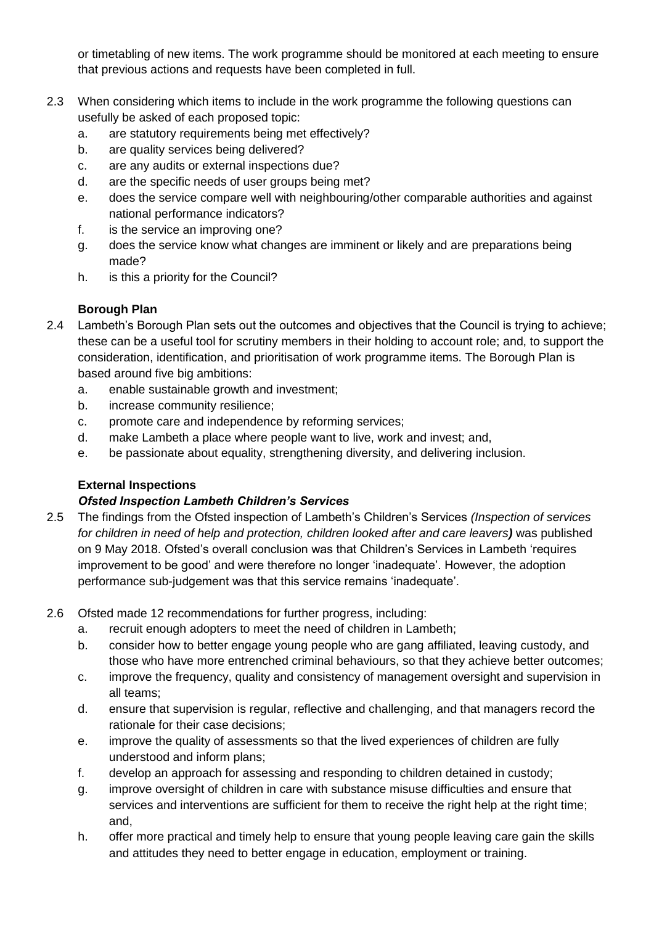or timetabling of new items. The work programme should be monitored at each meeting to ensure that previous actions and requests have been completed in full.

- 2.3 When considering which items to include in the work programme the following questions can usefully be asked of each proposed topic:
	- a. are statutory requirements being met effectively?
	- b. are quality services being delivered?
	- c. are any audits or external inspections due?
	- d. are the specific needs of user groups being met?
	- e. does the service compare well with neighbouring/other comparable authorities and against national performance indicators?
	- f. is the service an improving one?
	- g. does the service know what changes are imminent or likely and are preparations being made?
	- h. is this a priority for the Council?

### **Borough Plan**

- 2.4 Lambeth's Borough Plan sets out the outcomes and objectives that the Council is trying to achieve; these can be a useful tool for scrutiny members in their holding to account role; and, to support the consideration, identification, and prioritisation of work programme items. The Borough Plan is based around five big ambitions:
	- a. enable sustainable growth and investment;
	- b. increase community resilience;
	- c. promote care and independence by reforming services;
	- d. make Lambeth a place where people want to live, work and invest; and,
	- e. be passionate about equality, strengthening diversity, and delivering inclusion.

## **External Inspections**

## *Ofsted Inspection Lambeth Children's Services*

- 2.5 The findings from the Ofsted inspection of Lambeth's Children's Services *(Inspection of services for children in need of help and protection, children looked after and care leavers)* was published on 9 May 2018. Ofsted's overall conclusion was that Children's Services in Lambeth 'requires improvement to be good' and were therefore no longer 'inadequate'. However, the adoption performance sub-judgement was that this service remains 'inadequate'.
- 2.6 Ofsted made 12 recommendations for further progress, including:
	- a. recruit enough adopters to meet the need of children in Lambeth;
	- b. consider how to better engage young people who are gang affiliated, leaving custody, and those who have more entrenched criminal behaviours, so that they achieve better outcomes;
	- c. improve the frequency, quality and consistency of management oversight and supervision in all teams;
	- d. ensure that supervision is regular, reflective and challenging, and that managers record the rationale for their case decisions;
	- e. improve the quality of assessments so that the lived experiences of children are fully understood and inform plans;
	- f. develop an approach for assessing and responding to children detained in custody;
	- g. improve oversight of children in care with substance misuse difficulties and ensure that services and interventions are sufficient for them to receive the right help at the right time; and,
	- h. offer more practical and timely help to ensure that young people leaving care gain the skills and attitudes they need to better engage in education, employment or training.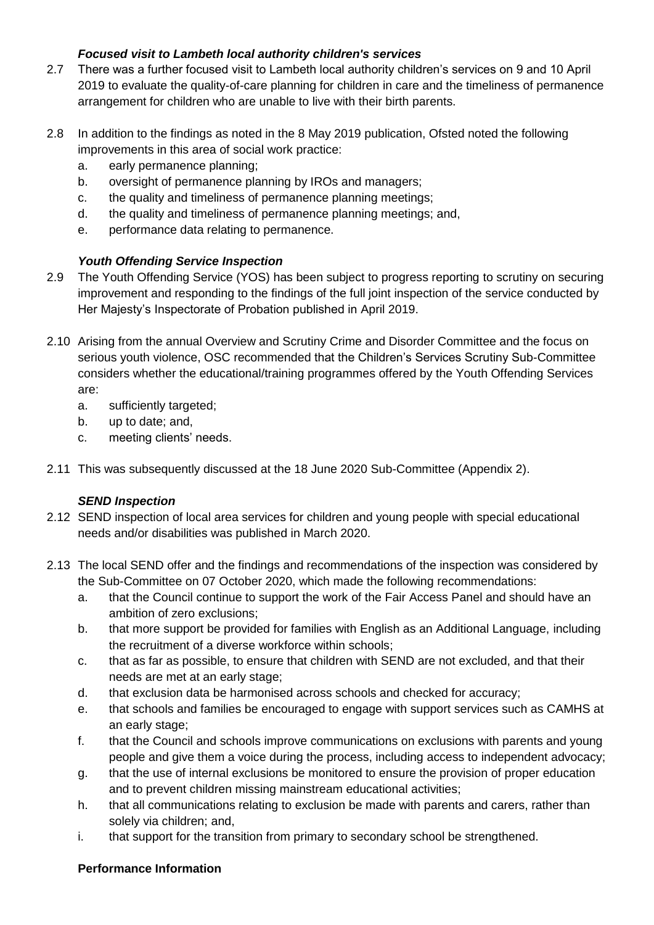### *Focused visit to Lambeth local authority children's services*

- 2.7 There was a further focused visit to Lambeth local authority children's services on 9 and 10 April 2019 to evaluate the quality-of-care planning for children in care and the timeliness of permanence arrangement for children who are unable to live with their birth parents.
- 2.8 In addition to the findings as noted in the 8 May 2019 publication, Ofsted noted the following improvements in this area of social work practice:
	- a. early permanence planning;
	- b. oversight of permanence planning by IROs and managers;
	- c. the quality and timeliness of permanence planning meetings;
	- d. the quality and timeliness of permanence planning meetings; and,
	- e. performance data relating to permanence.

### *Youth Offending Service Inspection*

- 2.9 The Youth Offending Service (YOS) has been subject to progress reporting to scrutiny on securing improvement and responding to the findings of the full joint inspection of the service conducted by Her Majesty's Inspectorate of Probation published in April 2019.
- 2.10 Arising from the annual Overview and Scrutiny Crime and Disorder Committee and the focus on serious youth violence, OSC recommended that the Children's Services Scrutiny Sub-Committee considers whether the educational/training programmes offered by the Youth Offending Services are:
	- a. sufficiently targeted;
	- b. up to date; and,
	- c. meeting clients' needs.
- 2.11 This was subsequently discussed at the 18 June 2020 Sub-Committee (Appendix 2).

#### *SEND Inspection*

- 2.12 SEND inspection of local area services for children and young people with special educational needs and/or disabilities was published in March 2020.
- 2.13 The local SEND offer and the findings and recommendations of the inspection was considered by the Sub-Committee on 07 October 2020, which made the following recommendations:
	- a. that the Council continue to support the work of the Fair Access Panel and should have an ambition of zero exclusions;
	- b. that more support be provided for families with English as an Additional Language, including the recruitment of a diverse workforce within schools;
	- c. that as far as possible, to ensure that children with SEND are not excluded, and that their needs are met at an early stage;
	- d. that exclusion data be harmonised across schools and checked for accuracy;
	- e. that schools and families be encouraged to engage with support services such as CAMHS at an early stage;
	- f. that the Council and schools improve communications on exclusions with parents and young people and give them a voice during the process, including access to independent advocacy;
	- g. that the use of internal exclusions be monitored to ensure the provision of proper education and to prevent children missing mainstream educational activities;
	- h. that all communications relating to exclusion be made with parents and carers, rather than solely via children; and,
	- i. that support for the transition from primary to secondary school be strengthened.

#### **Performance Information**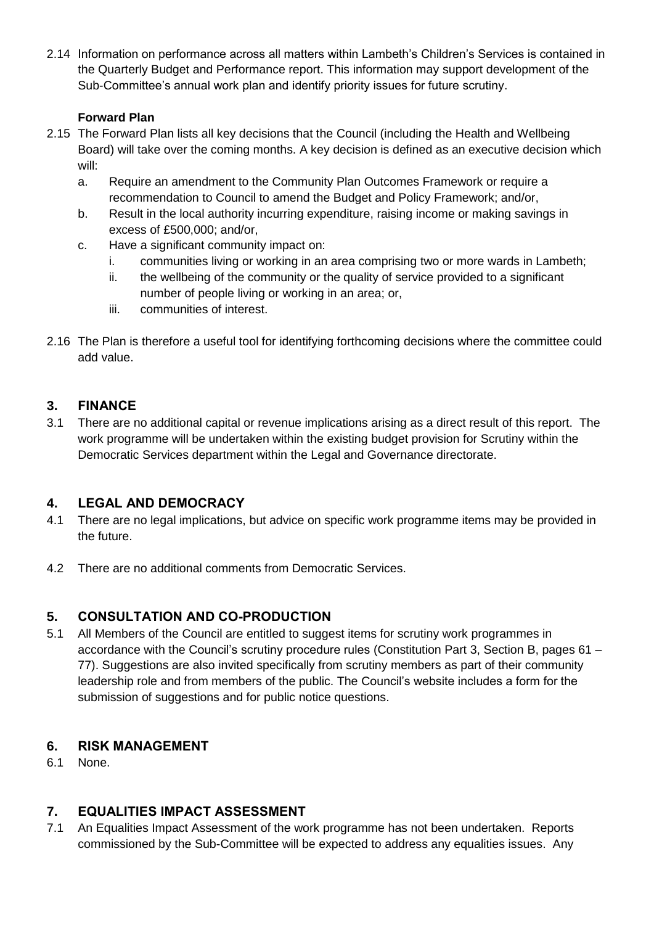2.14 Information on performance across all matters within Lambeth's Children's Services is contained in the Quarterly Budget and Performance report. This information may support development of the Sub-Committee's annual work plan and identify priority issues for future scrutiny.

### **Forward Plan**

- 2.15 The Forward Plan lists all key decisions that the Council (including the Health and Wellbeing Board) will take over the coming months. A key decision is defined as an executive decision which will:
	- a. Require an amendment to the Community Plan Outcomes Framework or require a recommendation to Council to amend the Budget and Policy Framework; and/or,
	- b. Result in the local authority incurring expenditure, raising income or making savings in excess of £500,000; and/or,
	- c. Have a significant community impact on:
		- i. communities living or working in an area comprising two or more wards in Lambeth;
		- ii. the wellbeing of the community or the quality of service provided to a significant number of people living or working in an area; or,
		- iii. communities of interest.
- 2.16 The Plan is therefore a useful tool for identifying forthcoming decisions where the committee could add value.

## **3. FINANCE**

3.1 There are no additional capital or revenue implications arising as a direct result of this report. The work programme will be undertaken within the existing budget provision for Scrutiny within the Democratic Services department within the Legal and Governance directorate.

## **4. LEGAL AND DEMOCRACY**

- 4.1 There are no legal implications, but advice on specific work programme items may be provided in the future.
- 4.2 There are no additional comments from Democratic Services.

## **5. CONSULTATION AND CO-PRODUCTION**

5.1 All Members of the Council are entitled to suggest items for scrutiny work programmes in accordance with the Council's scrutiny procedure rules (Constitution Part 3, Section B, pages 61 – 77). Suggestions are also invited specifically from scrutiny members as part of their community leadership role and from members of the public. The Council's website includes a form for the submission of suggestions and for public notice questions.

## **6. RISK MANAGEMENT**

6.1 None.

## **7. EQUALITIES IMPACT ASSESSMENT**

7.1 An Equalities Impact Assessment of the work programme has not been undertaken. Reports commissioned by the Sub-Committee will be expected to address any equalities issues. Any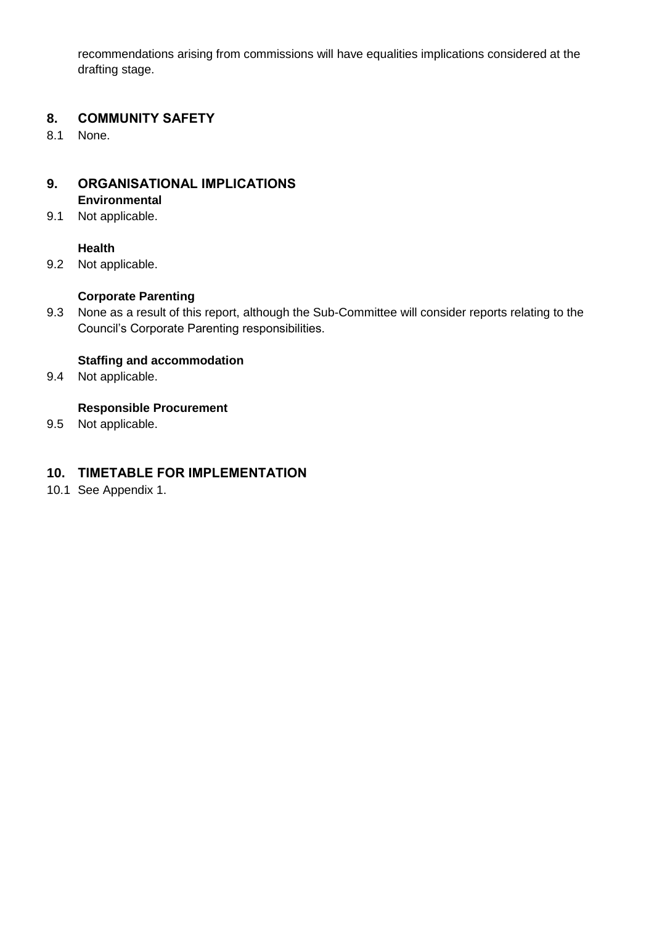recommendations arising from commissions will have equalities implications considered at the drafting stage.

### **8. COMMUNITY SAFETY**

8.1 None.

#### **9. ORGANISATIONAL IMPLICATIONS Environmental**

9.1 Not applicable.

#### **Health**

9.2 Not applicable.

#### **Corporate Parenting**

9.3 None as a result of this report, although the Sub-Committee will consider reports relating to the Council's Corporate Parenting responsibilities.

#### **Staffing and accommodation**

9.4 Not applicable.

#### **Responsible Procurement**

9.5 Not applicable.

#### **10. TIMETABLE FOR IMPLEMENTATION**

10.1 See Appendix 1.